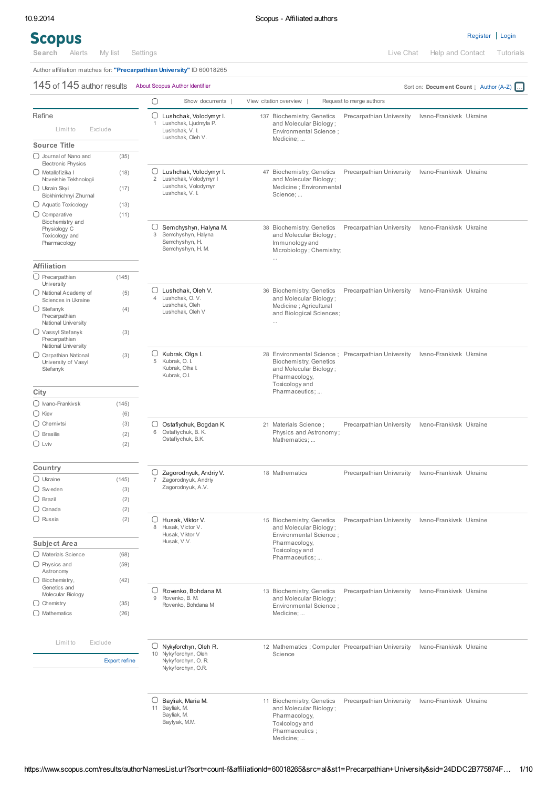## **Scopus**

[Register](https://www.scopus.com/customer/profile/display.url) | [Login](javascript:void(0);)

Author affiliation matches for: "Precarpathian University" ID 60018265  $145$  of  $145$  author results About Scopus Author Identifier Sort on: Document Count ↓ Author (A-Z)  $\bigcap$ Show documents | View citation overview | Request to merge authors Refine  $\bigcirc$ Lushchak, Volodymyr I. [137](https://www.scopus.com/results/authorLookup.url?authorNameSelected=0&st1=Precarpathian+University&st2=&origin=authorNamesList&resultsPerPage=200&offset=1&sort=count-f&docSelectedAuthor=7006070957&partialQuery=) Biochemistry, Genetics Precarpathian University Ivano-Frankivsk Ukraine Lushchak, Ljudmyla F. and Molecular Biology ; 1 Limit to Exclude Lushchak, V. I. Environmental Science ; Lushchak, Oleh V. Medicine; ... Source Title Journal of Nano and (35) Electronic Physics Lushchak, Volodymyr I. [47](https://www.scopus.com/results/authorLookup.url?authorNameSelected=1&st1=Precarpathian+University&st2=&origin=authorNamesList&resultsPerPage=200&offset=1&sort=count-f&docSelectedAuthor=56199166100&partialQuery=) Biochemistry, Genetics Precarpathian University Ivano-Frankivsk Ukraine Metallofizika I (18) Lushchak, Volodymyr I and Molecular Biology ; Noveishie Tekhnologii 2 Lushchak, Volodymyr Medicine ; Environmental Ukrain Skyi (17) Lushchak, V. I. Biokhimichnyi Zhurnal Science; ...  $\bigcirc$  Aquatic Toxicology (13) O Comparative (11) Biochemistry and  $\bigcap$ Semchyshyn, Halyna M. [38](https://www.scopus.com/results/authorLookup.url?authorNameSelected=2&st1=Precarpathian+University&st2=&origin=authorNamesList&resultsPerPage=200&offset=1&sort=count-f&docSelectedAuthor=10042974200&partialQuery=) Biochemistry, Genetics Precarpathian University Ivano-Frankivsk Ukraine Physiology C and Molecular Biology ; Toxicology and 3 Semchyshyn, Halyna Semchyshyn, H. Pharmacology Immunology and Semchyshyn, H. M. Microbiology ; Chemistry; ... Affiliation  $\bigcirc$  Precarpathian (145) University  $\cap$ Lushchak, Oleh V. [36](https://www.scopus.com/results/authorLookup.url?authorNameSelected=3&st1=Precarpathian+University&st2=&origin=authorNamesList&resultsPerPage=200&offset=1&sort=count-f&docSelectedAuthor=56243939600&partialQuery=) Biochemistry, Genetics Precarpathian University Ivano-Frankivsk Ukraine ◯ National Academy of (5) 4 Lushchak, O. V. and Molecular Biology ; Sciences in Ukraine Lushchak, Oleh Medicine ; Agricultural  $\bigcirc$  Stefanyk (4) Lushchak, Oleh V and Biological Sciences; **Precarpathian** National University ... Vassyl Stefanyk (3) Precarpathian National University ∩ Kubrak, Olga I. [28](https://www.scopus.com/results/authorLookup.url?authorNameSelected=4&st1=Precarpathian+University&st2=&origin=authorNamesList&resultsPerPage=200&offset=1&sort=count-f&docSelectedAuthor=23570057900&partialQuery=) Environmental Science ; Precarpathian University Ivano-Frankivsk Ukraine Carpathian National (3) 5 Kubrak, O. I. Biochemistry, Genetics University of Vasyl Kubrak, Olha I. and Molecular Biology ; Stefanyk Kubrak, O.I. Pharmacology, Toxicology and **City** Pharmaceutics; ... Ivano-Frankivsk (145) Kiev (6)  $\bigcirc$  Chernivtsi (3) Ostafiychuk, Bogdan K. [21](https://www.scopus.com/results/authorLookup.url?authorNameSelected=5&st1=Precarpathian+University&st2=&origin=authorNamesList&resultsPerPage=200&offset=1&sort=count-f&docSelectedAuthor=26656107600&partialQuery=) Materials Science ; Precarpathian University Ivano-Frankivsk Ukraine  $\bigcirc$  Brasilia (2) 6 Physics and Astronomy ; Ostafiychuk, B. K. Ostafiychuk, B.K. Mathematics;  $\bigcirc$  Lviv (2) Country  $\bigcirc$ Zagorodnyuk, Andriy V. [18](https://www.scopus.com/results/authorLookup.url?authorNameSelected=6&st1=Precarpathian+University&st2=&origin=authorNamesList&resultsPerPage=200&offset=1&sort=count-f&docSelectedAuthor=6507703719&partialQuery=) Mathematics Precarpathian University Ivano-Frankivsk Ukraine Ukraine (145) Zagorodnyuk, Andriy 7  $\bigcirc$  Sw eden (3) Zagorodnyuk, A.V.

 $\bigcirc$  Brazil (2)  $\bigcirc$  Canada (2)  $\bigcirc$  Russia (2) Husak, Viktor V. [15](https://www.scopus.com/results/authorLookup.url?authorNameSelected=7&st1=Precarpathian+University&st2=&origin=authorNamesList&resultsPerPage=200&offset=1&sort=count-f&docSelectedAuthor=23094097000&partialQuery=) Biochemistry, Genetics Precarpathian University Ivano-Frankivsk Ukraine 8 Husak, Victor V. and Molecular Biology ; Husak, Viktor V Environmental Science Husak, V.V. Subject Area Pharmacology, Toxicology and Materials Science (68) Pharmaceutics; Physics and (59) Astronomy  $\bigcirc$  Biochemistry, (42) Genetics and Rovenko, Bohdana M. [13](https://www.scopus.com/results/authorLookup.url?authorNameSelected=8&st1=Precarpathian+University&st2=&origin=authorNamesList&resultsPerPage=200&offset=1&sort=count-f&docSelectedAuthor=41961893400&partialQuery=) Biochemistry, Genetics Precarpathian University Ivano-Frankivsk Ukraine Molecular Biology Rovenko, B. M. and Molecular Biology ; 9  $\bigcirc$  Chemistry (35) Rovenko, Bohdana M Environmental Science ; Mathematics (26) Medicine; Limit to Exclude  $\bigcirc$ Nykyforchyn, Oleh R. [12](https://www.scopus.com/results/authorLookup.url?authorNameSelected=9&st1=Precarpathian+University&st2=&origin=authorNamesList&resultsPerPage=200&offset=1&sort=count-f&docSelectedAuthor=17435108500&partialQuery=) Mathematics ; Computer Precarpathian University Ivano-Frankivsk Ukraine 10 Nykyforchyn, Oleh Science Export refine Nykyforchyn, O. R. Nykyforchyn, O.R.  $\Box$  Bayliak, Maria M. [11](https://www.scopus.com/results/authorLookup.url?authorNameSelected=10&st1=Precarpathian+University&st2=&origin=authorNamesList&resultsPerPage=200&offset=1&sort=count-f&docSelectedAuthor=23494636700&partialQuery=) Biochemistry, Genetics Precarpathian University Ivano-Frankivsk Ukraine 11 Bayliak, M. and Molecular Biology ; Bayliak, M. Pharmacology, Baylyak, M.M. Toxicology and Pharmaceutics ;

Medicine; ...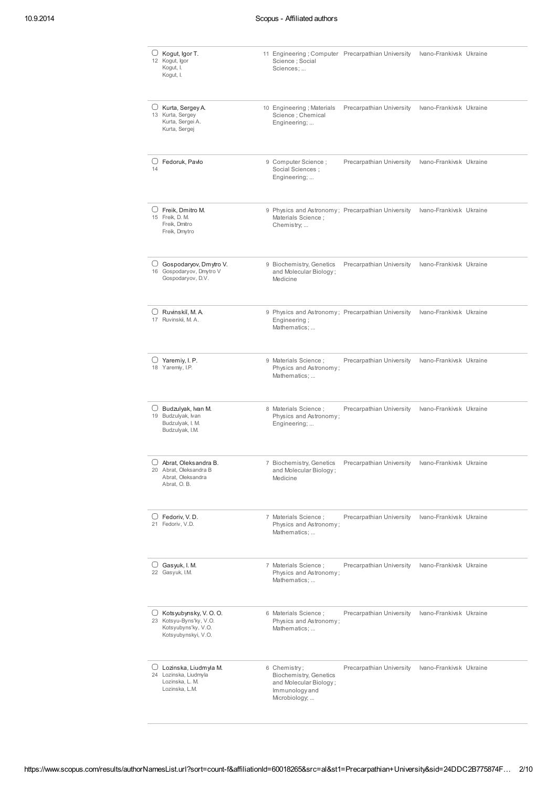|        | $\cup$ Kogut, Igor T.<br>12 Kogut, Igor<br>Kogut, I.<br>Kogut, I.                               | Science ; Social<br>Sciences;                                                                              | 11 Engineering; Computer Precarpathian University | Ivano-Frankivsk Ukraine |  |
|--------|-------------------------------------------------------------------------------------------------|------------------------------------------------------------------------------------------------------------|---------------------------------------------------|-------------------------|--|
| U      | Kurta, Sergey A.<br>13 Kurta, Sergey<br>Kurta, Sergei A.<br>Kurta, Sergej                       | 10 Engineering; Materials<br>Science ; Chemical<br>Engineering;                                            | Precarpathian University                          | Ivano-Frankivsk Ukraine |  |
| 14     | $\Box$ Fedoruk. Pavlo                                                                           | 9 Computer Science;<br>Social Sciences:<br>Engineering;                                                    | Precarpathian University                          | Ivano-Frankivsk Ukraine |  |
|        | $\cup$ Freik, Dmitro M.<br>15 Freik, D. M.<br>Freik, Dmitro<br>Freik, Dmytro                    | Materials Science;<br>Chemistry;                                                                           | 9 Physics and Astronomy; Precarpathian University | Ivano-Frankivsk Ukraine |  |
|        | $\Box$ Gospodaryov, Dmytro V.<br>16 Gospodaryov, Dmytro V<br>Gospodaryov, D.V.                  | 9 Biochemistry, Genetics<br>and Molecular Biology;<br>Medicine                                             | Precarpathian University                          | Ivano-Frankivsk Ukraine |  |
|        | $\cup$ Ruvinskiı̆, M. A.<br>17 Ruvinskii, M. A.                                                 | Engineering;<br>Mathematics;                                                                               | 9 Physics and Astronomy; Precarpathian University | Ivano-Frankivsk Ukraine |  |
|        | $\Box$ Yaremiy, I. P.<br>18 Yaremiy, I.P.                                                       | 9 Materials Science ;<br>Physics and Astronomy;<br>Mathematics;                                            | Precarpathian University                          | Ivano-Frankivsk Ukraine |  |
|        | $\Box$ Budzulyak, Ivan M.<br>19 Budzulyak, Ivan<br>Budzulyak, I. M.<br>Budzulyak, I.M.          | 8 Materials Science;<br>Physics and Astronomy;<br>Engineering;                                             | Precarpathian University                          | Ivano-Frankivsk Ukraine |  |
| $(\ )$ | Abrat, Oleksandra B.<br>20 Abrat, Oleksandra B<br>Abrat, Oleksandra<br>Abrat, O.B.              | 7 Biochemistry, Genetics<br>and Molecular Biology;<br>Medicine                                             | Precarpathian University                          | Ivano-Frankivsk Ukraine |  |
|        | $\Box$ Fedoriv, V. D.<br>21 Fedoriv, V.D.                                                       | 7 Materials Science ;<br>Physics and Astronomy;<br>Mathematics;                                            | Precarpathian University                          | Ivano-Frankivsk Ukraine |  |
|        | $\cup$ Gasyuk, I. M.<br>22 Gasyuk, I.M.                                                         | 7 Materials Science ;<br>Physics and Astronomy;<br>Mathematics;                                            | Precarpathian University                          | Ivano-Frankivsk Ukraine |  |
| U      | Kotsyubynsky, V. O. O.<br>23 Kotsyu-Byns'ky, V.O.<br>Kotsyubyns'ky, V.O.<br>Kotsyubynskyi, V.O. | 6 Materials Science ;<br>Physics and Astronomy;<br>Mathematics;                                            | Precarpathian University                          | Ivano-Frankivsk Ukraine |  |
|        | $\Box$ Lozinska, Liudmyla M.<br>24 Lozinska, Liudmyla<br>Lozinska, L. M.<br>Lozinska, L.M.      | 6 Chemistry;<br><b>Biochemistry, Genetics</b><br>and Molecular Biology;<br>Immunology and<br>Microbiology; | Precarpathian University                          | Ivano-Frankivsk Ukraine |  |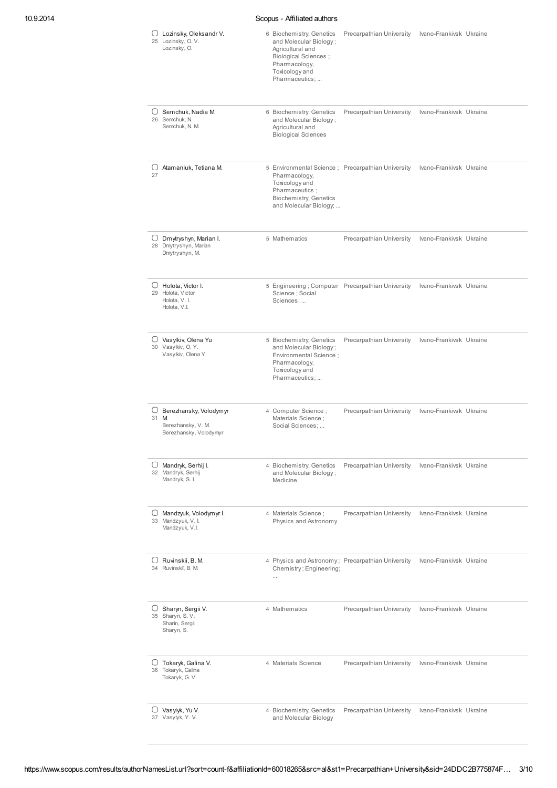| 10.9.2014 | Scopus - Affiliated authors                                                               |                                                                                                                                                             |                          |                         |  |  |
|-----------|-------------------------------------------------------------------------------------------|-------------------------------------------------------------------------------------------------------------------------------------------------------------|--------------------------|-------------------------|--|--|
|           | $\cup$<br>Lozinsky, Oleksandr V.<br>25 Lozinsky, O.V.<br>Lozinsky, O.                     | 6 Biochemistry, Genetics<br>and Molecular Biology;<br>Agricultural and<br><b>Biological Sciences</b> ;<br>Pharmacology,<br>Toxicology and<br>Pharmaceutics; | Precarpathian University | Ivano-Frankivsk Ukraine |  |  |
|           | $\bigcup$ Semchuk, Nadia M.<br>26 Semchuk, N.<br>Semchuk, N. M.                           | 6 Biochemistry, Genetics<br>and Molecular Biology;<br>Agricultural and<br><b>Biological Sciences</b>                                                        | Precarpathian University | Ivano-Frankivsk Ukraine |  |  |
|           | $\bigcup$ Atamaniuk, Tetiana M.<br>27                                                     | 5 Environmental Science ; Precarpathian University<br>Pharmacology,<br>Toxicology and<br>Pharmaceutics;<br>Biochemistry, Genetics<br>and Molecular Biology; |                          | Ivano-Frankivsk Ukraine |  |  |
|           | $\Box$ Dmytryshyn, Marian I.<br>28 Dmytryshyn, Marian<br>Dmytryshyn, M.                   | 5 Mathematics                                                                                                                                               | Precarpathian University | Ivano-Frankivsk Ukraine |  |  |
|           | $\Box$ Holota, Victor I.<br>29 Holota, Victor<br>Holota, V. I.<br>Holota, V.I.            | 5 Engineering; Computer Precarpathian University<br>Science ; Social<br>Sciences;                                                                           |                          | Ivano-Frankivsk Ukraine |  |  |
|           | ○ Vasylkiv, Olena Yu<br>30 Vasylkiv, O.Y.<br>Vasylkiv, Olena Y.                           | 5 Biochemistry, Genetics<br>and Molecular Biology;<br>Environmental Science;<br>Pharmacology,<br>Toxicology and<br>Pharmaceutics;                           | Precarpathian University | Ivano-Frankivsk Ukraine |  |  |
|           | $\cup$<br>Berezhansky, Volodymyr<br>31 M.<br>Berezhansky, V. M.<br>Berezhansky, Volodymyr | 4 Computer Science;<br>Materials Science;<br>Social Sciences;                                                                                               | Precarpathian University | Ivano-Frankivsk Ukraine |  |  |
|           | $\Box$ Mandryk, Serhij I.<br>32 Mandryk, Serhij<br>Mandryk, S. I.                         | 4 Biochemistry, Genetics<br>and Molecular Biology;<br>Medicine                                                                                              | Precarpathian University | Ivano-Frankivsk Ukraine |  |  |
|           | $\Box$ Mandzyuk, Volodymyr I.<br>33 Mandzyuk, V. I.<br>Mandzyuk, V.I.                     | 4 Materials Science;<br>Physics and Astronomy                                                                                                               | Precarpathian University | Ivano-Frankivsk Ukraine |  |  |
|           | $\Box$ Ruvinskii, B. M.<br>34 Ruvinskii, B. M.                                            | 4 Physics and Astronomy; Precarpathian University<br>Chemistry; Engineering;<br>$\ldots$                                                                    |                          | Ivano-Frankivsk Ukraine |  |  |
|           | $\Box$ Sharyn, Sergii V.<br>35 Sharyn, S.V.<br>Sharin, Sergii<br>Sharyn, S.               | 4 Mathematics                                                                                                                                               | Precarpathian University | Ivano-Frankivsk Ukraine |  |  |
|           | Tokaryk, Galina V.<br>$\cup$<br>36 Tokaryk, Galina<br>Tokaryk, G. V.                      | 4 Materials Science                                                                                                                                         | Precarpathian University | Ivano-Frankivsk Ukraine |  |  |
|           | O Vasylyk, Yu V.<br>37 Vasylyk, Y.V.                                                      | 4 Biochemistry, Genetics<br>and Molecular Biology                                                                                                           | Precarpathian University | Ivano-Frankivsk Ukraine |  |  |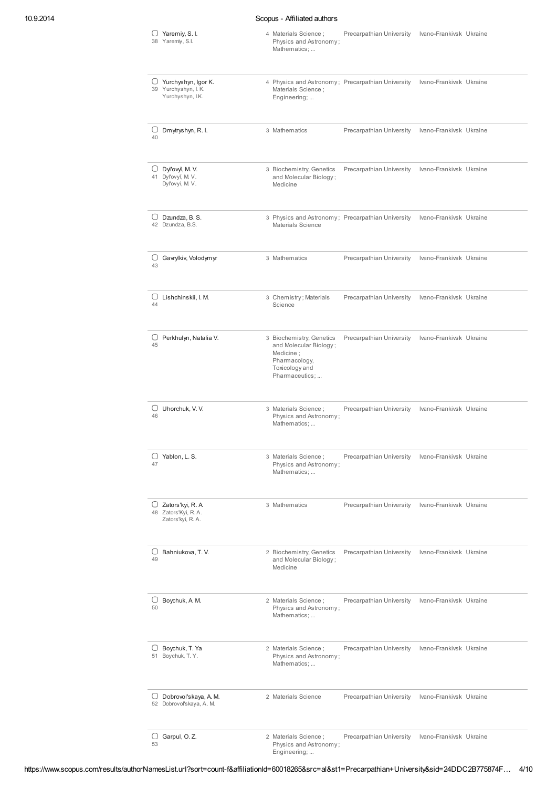## 10.9.2014 Scopus - Affiliated authors

|                | Yaremiy, S. I.<br>38 Yaremiy, S.I.                                       | 4 Materials Science;<br>Physics and Astronomy;<br>Mathematics;                                                       |                                                   | Precarpathian University Ivano-Frankivsk Ukraine |  |
|----------------|--------------------------------------------------------------------------|----------------------------------------------------------------------------------------------------------------------|---------------------------------------------------|--------------------------------------------------|--|
|                | $\Box$ Yurchyshyn, Igor K.<br>39 Yurchyshyn, I. K.<br>Yurchyshyn, I.K.   | Materials Science ;<br>Engineering;                                                                                  | 4 Physics and Astronomy; Precarpathian University | Ivano-Frankivsk Ukraine                          |  |
| U<br>40        | Dmytryshyn, R. I.                                                        | 3 Mathematics                                                                                                        | Precarpathian University                          | Ivano-Frankivsk Ukraine                          |  |
| U              | Dyl'ovyi, M.V.<br>41 Dyl'ovyĭ, M. V.<br>Dyl'ovyi, M. V.                  | 3 Biochemistry, Genetics<br>and Molecular Biology;<br>Medicine                                                       | Precarpathian University                          | Ivano-Frankivsk Ukraine                          |  |
|                | $\cup$ Dzundza, B. S.<br>42 Dzundza, B.S.                                | Materials Science                                                                                                    | 3 Physics and Astronomy; Precarpathian University | Ivano-Frankivsk Ukraine                          |  |
| U<br>43        | Gavrylkiv, Volodymyr                                                     | 3 Mathematics                                                                                                        | Precarpathian University                          | Ivano-Frankivsk Ukraine                          |  |
| 44             | $\cup$ Lishchinskii, I. M.                                               | 3 Chemistry; Materials<br>Science                                                                                    | Precarpathian University                          | Ivano-Frankivsk Ukraine                          |  |
| 45             | $\cup$ Perkhulyn, Natalia V.                                             | 3 Biochemistry, Genetics<br>and Molecular Biology;<br>Medicine;<br>Pharmacology,<br>Toxicology and<br>Pharmaceutics; | Precarpathian University                          | Ivano-Frankivsk Ukraine                          |  |
| $\cup$<br>46   | Uhorchuk, V.V.                                                           | 3 Materials Science ;<br>Physics and Astronomy;<br>Mathematics;                                                      | Precarpathian University                          | Ivano-Frankivsk Ukraine                          |  |
| $^{(+)}$<br>47 | Yablon, L. S.                                                            | 3 Materials Science;<br>Physics and Astronomy;<br>Mathematics;                                                       | Precarpathian University                          | Ivano-Frankivsk Ukraine                          |  |
|                | $\bigcup$ Zators'kyi, R. A.<br>48 Zators'Kyi, R. A.<br>Zators'kyi, R. A. | 3 Mathematics                                                                                                        | Precarpathian University                          | Ivano-Frankivsk Ukraine                          |  |
| 49             | $\cup$ Bahniukova, T. V.                                                 | 2 Biochemistry, Genetics<br>and Molecular Biology;<br>Medicine                                                       | Precarpathian University                          | Ivano-Frankivsk Ukraine                          |  |
| U<br>50        | Boychuk, A. M.                                                           | 2 Materials Science;<br>Physics and Astronomy;<br>Mathematics;                                                       | Precarpathian University                          | Ivano-Frankivsk Ukraine                          |  |
|                | $\bigcup$ Boychuk, T. Ya<br>51 Boychuk, T.Y.                             | 2 Materials Science ;<br>Physics and Astronomy;<br>Mathematics;                                                      | Precarpathian University                          | Ivano-Frankivsk Ukraine                          |  |
|                | $\cup$ Dobrovol'skaya, A.M.<br>52 Dobrovoľskaya, A. M.                   | 2 Materials Science                                                                                                  | Precarpathian University                          | Ivano-Frankivsk Ukraine                          |  |
| 53             | $\Box$ Garpul, O. Z.                                                     | 2 Materials Science ;<br>Physics and Astronomy;                                                                      | Precarpathian University                          | Ivano-Frankivsk Ukraine                          |  |

Engineering; ...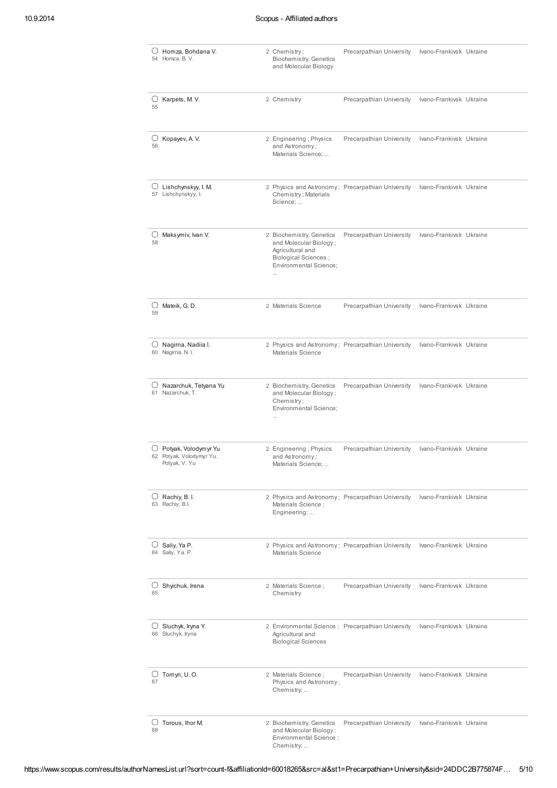| $\Box$ Homza, Bohdana V.<br>54 Homza, B. V.                         | 2 Chemistry;<br>Biochemistry, Genetics<br>and Molecular Biology                                                                                    | Precarpathian University                          | Ivano-Frankivsk Ukraine |  |
|---------------------------------------------------------------------|----------------------------------------------------------------------------------------------------------------------------------------------------|---------------------------------------------------|-------------------------|--|
| $\cup$ Karpets, M.V.<br>55                                          | 2 Chemistry                                                                                                                                        | Precarpathian University                          | Ivano-Frankivsk Ukraine |  |
| Kopayev, A.V.<br>U<br>56                                            | 2 Engineering; Physics<br>and Astronomy;<br>Materials Science;                                                                                     | Precarpathian University                          | Ivano-Frankivsk Ukraine |  |
| $\cup$ Lishchynskyy, I. M.<br>57 Lishchynskyy, I.                   | 2 Physics and Astronomy; Precarpathian University<br>Chemistry; Materials<br>Science;                                                              |                                                   | Ivano-Frankivsk Ukraine |  |
| $\cup$ Maksymiv, Ivan V.<br>58                                      | 2 Biochemistry, Genetics<br>and Molecular Biology;<br>Agricultural and<br><b>Biological Sciences;</b><br><b>Environmental Science:</b><br>$\cdots$ | Precarpathian University                          | Ivano-Frankivsk Ukraine |  |
| U<br>Mateik, G.D.<br>59                                             | 2 Materials Science                                                                                                                                | Precarpathian University                          | Ivano-Frankivsk Ukraine |  |
| U<br>Nagirna, Nadiia I.<br>60 Nagirna, N. I.                        | 2 Physics and Astronomy; Precarpathian University<br>Materials Science                                                                             |                                                   | Ivano-Frankivsk Ukraine |  |
| U<br>Nazarchuk, Tetyana Yu<br>61 Nazarchuk, T.                      | 2 Biochemistry, Genetics<br>and Molecular Biology;<br>Chemistry;<br>Environmental Science;<br>$\ddotsc$                                            | Precarpathian University                          | Ivano-Frankivsk Ukraine |  |
| ∪ Potyak, Volodymyr Yu<br>62 Potyak, Volodymyr Yu.<br>Potyak, V. Yu | 2 Engineering; Physics<br>and Astronomy;<br>Materials Science;                                                                                     | Precarpathian University                          | Ivano-Frankivsk Ukraine |  |
| $\cup$ Rachiy, B. I.<br>63 Rachiy, B.I.                             | 2 Physics and Astronomy; Precarpathian University<br>Materials Science;<br>Engineering;                                                            |                                                   | Ivano-Frankivsk Ukraine |  |
| $\cup$ Saliy, Ya P.<br>64 Saliy, Ya. P.                             | Materials Science                                                                                                                                  | 2 Physics and Astronomy; Precarpathian University | Ivano-Frankivsk Ukraine |  |
| $\cup$ Shyichuk, Irena<br>65                                        | 2 Materials Science;<br>Chemistry                                                                                                                  | Precarpathian University                          | Ivano-Frankivsk Ukraine |  |
| $\cup$ Sluchyk, Iryna Y.<br>66 Sluchyk, Iryna                       | Agricultural and<br><b>Biological Sciences</b>                                                                                                     | 2 Environmental Science; Precarpathian University | Ivano-Frankivsk Ukraine |  |
| $\cup$ Tomyn, U.O.<br>67                                            | 2 Materials Science;<br>Physics and Astronomy;<br>Chemistry;                                                                                       | Precarpathian University                          | Ivano-Frankivsk Ukraine |  |
| $\cup$ Torous, Ihor M.<br>68                                        | 2 Biochemistry, Genetics<br>and Molecular Biology;<br>Environmental Science;<br>Chemistry;                                                         | Precarpathian University                          | Ivano-Frankivsk Ukraine |  |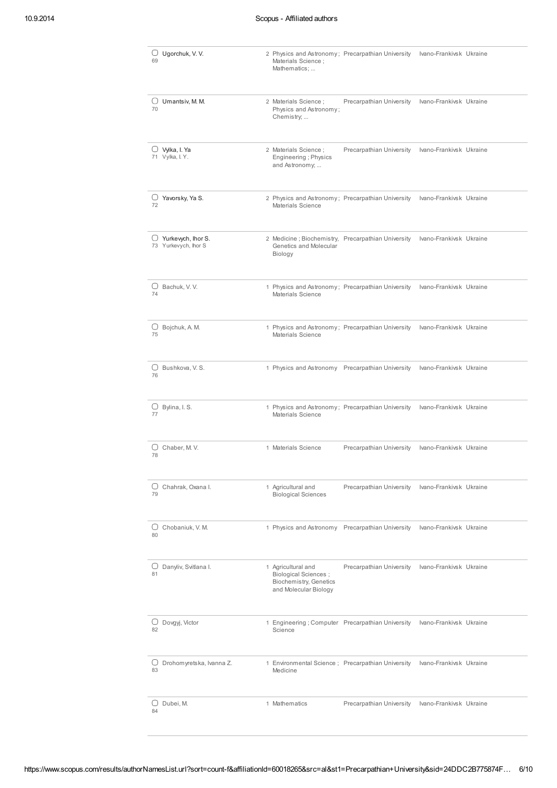| $\bigcirc$ Ugorchuk, V. V.<br>69                 | 2 Physics and Astronomy; Precarpathian University<br>Materials Science ;<br>Mathematics;              |                          | Ivano-Frankivsk Ukraine |  |
|--------------------------------------------------|-------------------------------------------------------------------------------------------------------|--------------------------|-------------------------|--|
| $\cup$ Umantsiv, M. M.<br>70                     | 2 Materials Science ;<br>Physics and Astronomy;<br>Chemistry;                                         | Precarpathian University | Ivano-Frankivsk Ukraine |  |
| $\bigcirc$ Vylka, I. Ya<br>71 Vylka, I. Y.       | 2 Materials Science ;<br>Engineering ; Physics<br>and Astronomy;                                      | Precarpathian University | Ivano-Frankivsk Ukraine |  |
| $\cup$ Yavorsky, Ya S.<br>72                     | 2 Physics and Astronomy; Precarpathian University<br>Materials Science                                |                          | Ivano-Frankivsk Ukraine |  |
| $\Box$ Yurkewch, lhor S.<br>73 Yurkevych, Ihor S | 2 Medicine; Biochemistry, Precarpathian University<br>Genetics and Molecular<br>Biology               |                          | Ivano-Frankivsk Ukraine |  |
| $\bigcup$ Bachuk, V.V.<br>74                     | 1 Physics and Astronomy; Precarpathian University<br>Materials Science                                |                          | Ivano-Frankivsk Ukraine |  |
| $\bigcup$ Bojchuk, A. M.<br>75                   | 1 Physics and Astronomy; Precarpathian University<br><b>Materials Science</b>                         |                          | Ivano-Frankivsk Ukraine |  |
| $\bigcup$ Bushkova, V. S.<br>76                  | 1 Physics and Astronomy Precarpathian University                                                      |                          | Ivano-Frankivsk Ukraine |  |
| $\cup$ Bylina, I. S.<br>77                       | 1 Physics and Astronomy; Precarpathian University<br>Materials Science                                |                          | Ivano-Frankivsk Ukraine |  |
| Chaber, M.V.<br>U<br>78                          | 1 Materials Science                                                                                   | Precarpathian University | Ivano-Frankivsk Ukraine |  |
| $\cup$ Chahrak, Oxana I.<br>79                   | 1 Agricultural and<br><b>Biological Sciences</b>                                                      | Precarpathian University | Ivano-Frankivsk Ukraine |  |
| Chobaniuk, V. M.<br>U<br>80                      | 1 Physics and Astronomy Precarpathian University                                                      |                          | Ivano-Frankivsk Ukraine |  |
| $\cup$ Danyliv, Svitlana I.<br>81                | 1 Agricultural and<br><b>Biological Sciences</b> ;<br>Biochemistry, Genetics<br>and Molecular Biology | Precarpathian University | Ivano-Frankivsk Ukraine |  |
| $\cup$ Dovgyj, Victor<br>82                      | 1 Engineering; Computer Precarpathian University<br>Science                                           |                          | Ivano-Frankivsk Ukraine |  |
| $\cup$ Drohomyretska, Ivanna Z.<br>83            | 1 Environmental Science; Precarpathian University<br>Medicine                                         |                          | Ivano-Frankivsk Ukraine |  |
| $\Box$ Dubei, M.<br>84                           | 1 Mathematics                                                                                         | Precarpathian University | Ivano-Frankivsk Ukraine |  |

https://www.scopus.com/results/authorNamesList.url?sort=count-f&affiliationId=60018265&src=al&st1=Precarpathian+University&sid=24DDC2B775874F… 6/10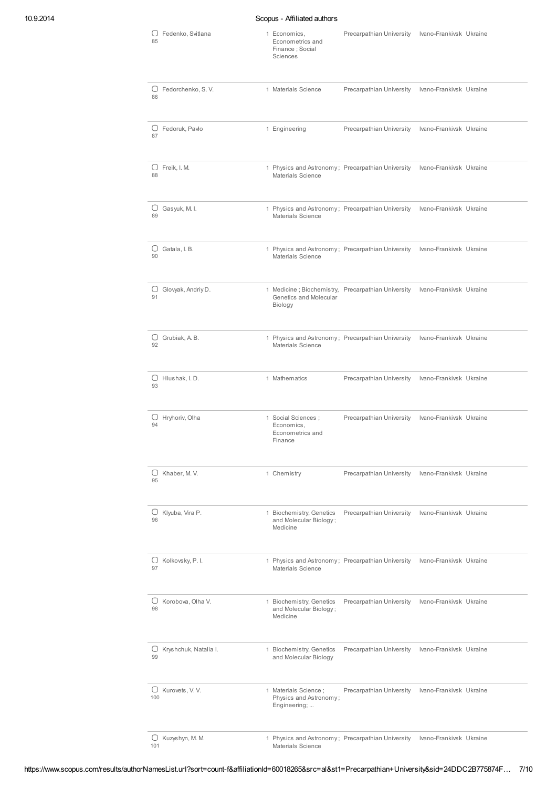## 10.9.2014 Scopus - Affiliated authors

| 85      | $\cup$ Fedenko, Svitlana | 1 Economics,<br>Econometrics and<br>Finance : Social<br>Sciences | Precarpathian University                           | Ivano-Frankivsk Ukraine |
|---------|--------------------------|------------------------------------------------------------------|----------------------------------------------------|-------------------------|
| U<br>86 | Fedorchenko, S.V.        | 1 Materials Science                                              | Precarpathian University                           | Ivano-Frankivsk Ukraine |
| U<br>87 | Fedoruk, Pavlo           | 1 Engineering                                                    | Precarpathian University                           | Ivano-Frankivsk Ukraine |
| U<br>88 | Freik, I. M.             | Materials Science                                                | 1 Physics and Astronomy; Precarpathian University  | Ivano-Frankivsk Ukraine |
| U<br>89 | Gasyuk, M.I.             | Materials Science                                                | 1 Physics and Astronomy; Precarpathian University  | Ivano-Frankivsk Ukraine |
| U<br>90 | Gatala, I.B.             | Materials Science                                                | 1 Physics and Astronomy; Precarpathian University  | Ivano-Frankivsk Ukraine |
| U<br>91 | Glovyak, Andriy D.       | Genetics and Molecular<br>Biology                                | 1 Medicine; Biochemistry, Precarpathian University | Ivano-Frankivsk Ukraine |
| 92      | $\bigcup$ Grubiak, A. B. | Materials Science                                                | 1 Physics and Astronomy; Precarpathian University  | Ivano-Frankivsk Ukraine |
| U<br>93 | Hlushak, I.D.            | 1 Mathematics                                                    | Precarpathian University                           | Ivano-Frankivsk Ukraine |
| 94      | ○ Hryhoriv, Olha         | 1 Social Sciences ;<br>Economics,<br>Econometrics and<br>Finance | Precarpathian University                           | Ivano-Frankivsk Ukraine |
| 95      | $\bigcirc$ Khaber, M. V. | 1 Chemistry                                                      | Precarpathian University                           | Ivano-Frankivsk Ukraine |
| U<br>96 | Klyuba, Vira P.          | 1 Biochemistry, Genetics<br>and Molecular Biology;<br>Medicine   | Precarpathian University                           | Ivano-Frankivsk Ukraine |
| U<br>97 | Kolkovsky, P.I.          | Materials Science                                                | 1 Physics and Astronomy; Precarpathian University  | Ivano-Frankivsk Ukraine |
| U<br>98 | Korobova, Olha V.        | 1 Biochemistry, Genetics<br>and Molecular Biology;<br>Medicine   | Precarpathian University                           | Ivano-Frankivsk Ukraine |
| O<br>99 | Kryshchuk, Natalia I.    | 1 Biochemistry, Genetics<br>and Molecular Biology                | Precarpathian University                           | Ivano-Frankivsk Ukraine |
| 100     | $\bigcup$ Kurovets, V.V. | 1 Materials Science;<br>Physics and Astronomy;<br>Engineering;   | Precarpathian University                           | Ivano-Frankivsk Ukraine |
| 101     | O Kuzyshyn, M. M.        | Materials Science                                                | 1 Physics and Astronomy; Precarpathian University  | Ivano-Frankivsk Ukraine |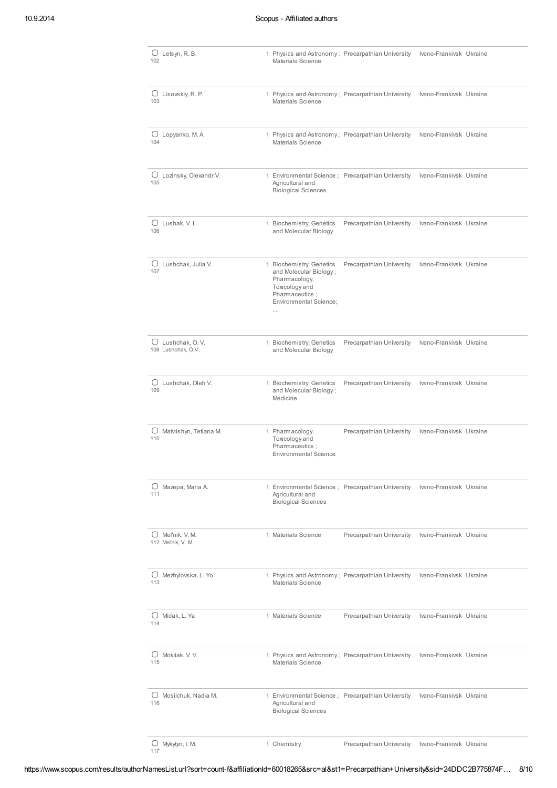| $\bigcup$ Letsyn, R. B.<br>102                  | 1 Physics and Astronomy; Precarpathian University<br>Materials Science                                                                        |                          | Ivano-Frankivsk Ukraine |  |
|-------------------------------------------------|-----------------------------------------------------------------------------------------------------------------------------------------------|--------------------------|-------------------------|--|
| $\Box$ Lisovskiy, R. P.<br>103                  | 1 Physics and Astronomy; Precarpathian University<br>Materials Science                                                                        |                          | Ivano-Frankivsk Ukraine |  |
| U<br>Lopyanko, M.A.<br>104                      | 1 Physics and Astronomy; Precarpathian University<br>Materials Science                                                                        |                          | Ivano-Frankivsk Ukraine |  |
| O<br>Lozinsky, Olexandr V.<br>105               | 1 Environmental Science; Precarpathian University<br>Agricultural and<br><b>Biological Sciences</b>                                           |                          | Ivano-Frankivsk Ukraine |  |
| $\bigcup$ Lushak, V. I.<br>106                  | 1 Biochemistry, Genetics<br>and Molecular Biology                                                                                             | Precarpathian University | Ivano-Frankivsk Ukraine |  |
| $\cup$<br>Lushchak, Julia V.<br>107             | 1 Biochemistry, Genetics<br>and Molecular Biology;<br>Pharmacology,<br>Toxicology and<br>Pharmaceutics;<br>Environmental Science;<br>$\cdots$ | Precarpathian University | Ivano-Frankivsk Ukraine |  |
| $\Box$ Lushchak, O.V.<br>108 Lushchak, O.V.     | 1 Biochemistry, Genetics<br>and Molecular Biology                                                                                             | Precarpathian University | Ivano-Frankivsk Ukraine |  |
| U<br>Lushchak, Oleh V.<br>109                   | 1 Biochemistry, Genetics<br>and Molecular Biology;<br>Medicine                                                                                | Precarpathian University | Ivano-Frankivsk Ukraine |  |
| $\cup$ Matviishyn, Tetiana M.<br>110            | 1 Pharmacology,<br>Toxicology and<br>Pharmaceutics :<br><b>Environmental Science</b>                                                          | Precarpathian University | Ivano-Frankivsk Ukraine |  |
| $\cup$ Mazepa, Maria A.<br>111                  | 1 Environmental Science; Precarpathian University<br>Agricultural and<br><b>Biological Sciences</b>                                           |                          | Ivano-Frankivsk Ukraine |  |
| $\bigcirc$ Mel'nik, V. M.<br>112 Mel'nik, V. M. | 1 Materials Science                                                                                                                           | Precarpathian University | Ivano-Frankivsk Ukraine |  |
| $\bigcup$ Mezhylovska, L. Yo<br>113             | 1 Physics and Astronomy; Precarpathian University<br>Materials Science                                                                        |                          | Ivano-Frankivsk Ukraine |  |
| $\bigcup$ Midak, L. Ya<br>114                   | 1 Materials Science                                                                                                                           | Precarpathian University | Ivano-Frankivsk Ukraine |  |
| $\Box$ Mokliak, V.V.<br>115                     | 1 Physics and Astronomy; Precarpathian University<br>Materials Science                                                                        |                          | Ivano-Frankivsk Ukraine |  |
| Mosiichuk, Nadia M.<br>U<br>116                 | 1 Environmental Science ; Precarpathian University<br>Agricultural and<br><b>Biological Sciences</b>                                          |                          | Ivano-Frankivsk Ukraine |  |
| $\cup$ Mykytyn, I. M.<br>117                    | 1 Chemistry                                                                                                                                   | Precarpathian University | Ivano-Frankivsk Ukraine |  |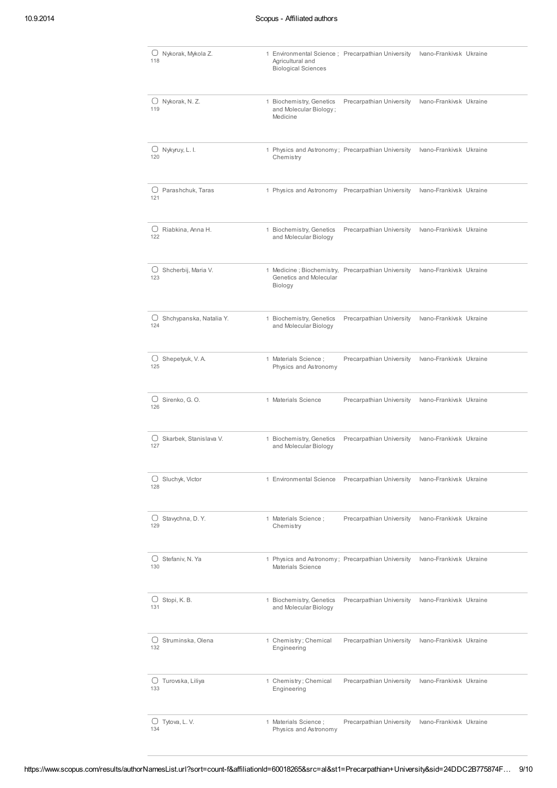| 118      | Nykorak, Mykola Z.            | 1 Environmental Science; Precarpathian University<br>Agricultural and<br><b>Biological Sciences</b> |                          | Ivano-Frankivsk Ukraine |  |
|----------|-------------------------------|-----------------------------------------------------------------------------------------------------|--------------------------|-------------------------|--|
| 119      | $\bigcup$ Nykorak, N.Z.       | 1 Biochemistry, Genetics<br>and Molecular Biology;<br>Medicine                                      | Precarpathian University | Ivano-Frankivsk Ukraine |  |
| 120      | $\bigcup$ Nykyruy, L. I.      | 1 Physics and Astronomy; Precarpathian University<br>Chemistry                                      |                          | Ivano-Frankivsk Ukraine |  |
| 121      | $\bigcup$ Parashchuk, Taras   | 1 Physics and Astronomy Precarpathian University                                                    |                          | Ivano-Frankivsk Ukraine |  |
| 122      | $\Box$ Riabkina, Anna H.      | 1 Biochemistry, Genetics<br>and Molecular Biology                                                   | Precarpathian University | Ivano-Frankivsk Ukraine |  |
| 123      | $\cup$ Shcherbij, Maria V.    | 1 Medicine; Biochemistry, Precarpathian University<br>Genetics and Molecular<br>Biology             |                          | Ivano-Frankivsk Ukraine |  |
| 124      | O Shchypanska, Natalia Y.     | 1 Biochemistry, Genetics<br>and Molecular Biology                                                   | Precarpathian University | Ivano-Frankivsk Ukraine |  |
| 125      | $\bigcirc$ Shepetyuk, V. A.   | 1 Materials Science ;<br>Physics and Astronomy                                                      | Precarpathian University | Ivano-Frankivsk Ukraine |  |
| U<br>126 | Sirenko, G. O.                | 1 Materials Science                                                                                 | Precarpathian University | Ivano-Frankivsk Ukraine |  |
| 127      | $\Box$ Skarbek, Stanislava V. | 1 Biochemistry, Genetics<br>and Molecular Biology                                                   | Precarpathian University | Ivano-Frankivsk Ukraine |  |
| 128      | $\bigcup$ Sluchyk, Victor     | 1 Environmental Science                                                                             | Precarpathian University | Ivano-Frankivsk Ukraine |  |
| U<br>129 | Stavychna, D.Y.               | 1 Materials Science;<br>Chemistry                                                                   | Precarpathian University | Ivano-Frankivsk Ukraine |  |
| 130      | $\bigcup$ Stefaniv, N. Ya     | 1 Physics and Astronomy; Precarpathian University<br>Materials Science                              |                          | Ivano-Frankivsk Ukraine |  |
| 131      | $\bigcup$ Stopi, K. B.        | 1 Biochemistry, Genetics<br>and Molecular Biology                                                   | Precarpathian University | Ivano-Frankivsk Ukraine |  |
| U<br>132 | Struminska, Olena             | 1 Chemistry; Chemical<br>Engineering                                                                | Precarpathian University | Ivano-Frankivsk Ukraine |  |
| 133      | $\cup$ Turovska, Liliya       | 1 Chemistry; Chemical<br>Engineering                                                                | Precarpathian University | Ivano-Frankivsk Ukraine |  |
| 134      | $\bigcup$ Tytova, L. V.       | 1 Materials Science;<br>Physics and Astronomy                                                       | Precarpathian University | Ivano-Frankivsk Ukraine |  |